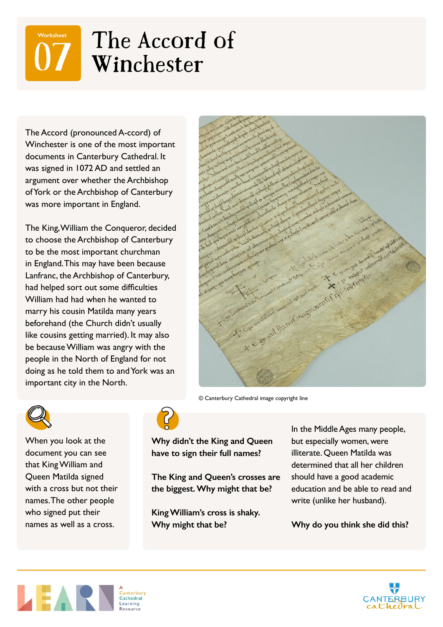## The Accord of<br>Winchester **Worksheet**

The Accord (pronounced A-ccord) of Winchester is one of the most important documents in Canterbury Cathedral. It was signed in 1072 AD and settled an argument over whether the Archbishop of York or the Archbishop of Canterbury was more important in England.

The King, William the Conqueror, decided to choose the Archbishop of Canterbury to be the most important churchman in England. This may have been because Lanfranc, the Archbishop of Canterbury, had helped sort out some difficulties William had had when he wanted to marry his cousin Matilda many years beforehand (the Church didn't usually like cousins getting married). It may also be because William was angry with the people in the North of England for not doing as he told them to and York was an important city in the North.



© Canterbury Cathedral image copyright line



When you look at the document you can see that King William and Queen Matilda signed with a cross but not their names. The other people who signed put their names as well as a cross.



**Why didn't the King and Queen have to sign their full names?**

**The King and Queen's crosses are the biggest. Why might that be?**

**King William's cross is shaky. Why might that be?**

In the Middle Ages many people, but especially women, were illiterate. Queen Matilda was determined that all her children should have a good academic education and be able to read and write (unlike her husband).

**Why do you think she did this?**



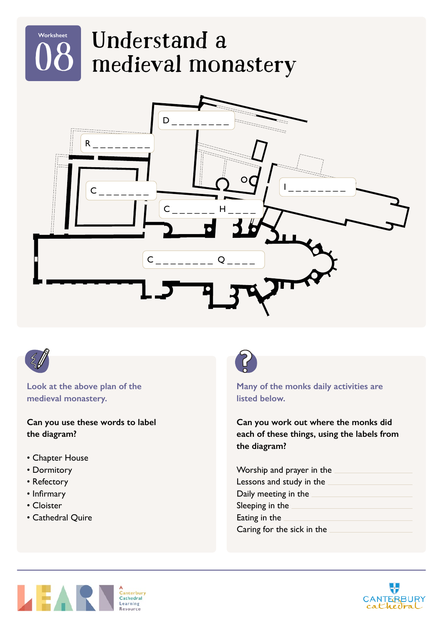





**Look at the above plan of the medieval monastery.**

**Can you use these words to label the diagram?**

- Chapter House
- Dormitory
- Refectory
- Infirmary
- Cloister
- Cathedral Quire



**Many of the monks daily activities are listed below.**

**Can you work out where the monks did each of these things, using the labels from the diagram?**

| Worship and prayer in the  |  |
|----------------------------|--|
| Lessons and study in the   |  |
| Daily meeting in the       |  |
| Sleeping in the            |  |
| Eating in the              |  |
| Caring for the sick in the |  |



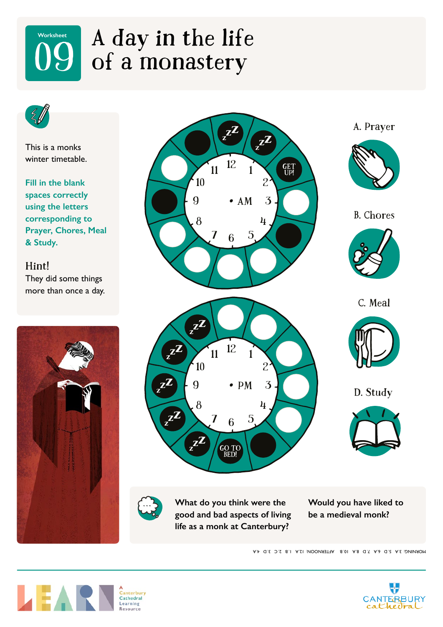### A day in the life<br>of a monastery **Worksheet**



This is a monks winter timetable.

**Fill in the blank spaces correctly using the letters corresponding to Prayer, Chores, Meal & Study.** 

Hint! They did some things more than once a day.





**What do you think were the good and bad aspects of living life as a monk at Canterbury?**

**Would you have liked to be a medieval monk?**

A.A 4. B.O. A. A 5. D. A. A 10. B. AFTERNOON: 12.A 1. B 2. C 3. D. 4.A